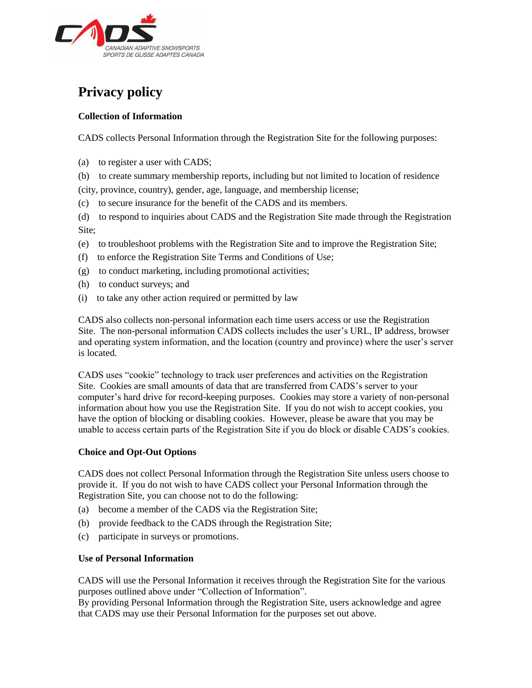

# **Privacy policy**

# **Collection of Information**

CADS collects Personal Information through the Registration Site for the following purposes:

- (a) to register a user with CADS;
- (b) to create summary membership reports, including but not limited to location of residence (city, province, country), gender, age, language, and membership license;
- (c) to secure insurance for the benefit of the CADS and its members.

(d) to respond to inquiries about CADS and the Registration Site made through the Registration Site;

- (e) to troubleshoot problems with the Registration Site and to improve the Registration Site;
- (f) to enforce the Registration Site Terms and Conditions of Use;
- (g) to conduct marketing, including promotional activities;
- (h) to conduct surveys; and
- (i) to take any other action required or permitted by law

CADS also collects non-personal information each time users access or use the Registration Site. The non-personal information CADS collects includes the user's URL, IP address, browser and operating system information, and the location (country and province) where the user's server is located.

CADS uses "cookie" technology to track user preferences and activities on the Registration Site. Cookies are small amounts of data that are transferred from CADS's server to your computer's hard drive for record-keeping purposes. Cookies may store a variety of non-personal information about how you use the Registration Site. If you do not wish to accept cookies, you have the option of blocking or disabling cookies. However, please be aware that you may be unable to access certain parts of the Registration Site if you do block or disable CADS's cookies.

## **Choice and Opt-Out Options**

CADS does not collect Personal Information through the Registration Site unless users choose to provide it. If you do not wish to have CADS collect your Personal Information through the Registration Site, you can choose not to do the following:

- (a) become a member of the CADS via the Registration Site;
- (b) provide feedback to the CADS through the Registration Site;
- (c) participate in surveys or promotions.

# **Use of Personal Information**

CADS will use the Personal Information it receives through the Registration Site for the various purposes outlined above under "Collection of Information".

By providing Personal Information through the Registration Site, users acknowledge and agree that CADS may use their Personal Information for the purposes set out above.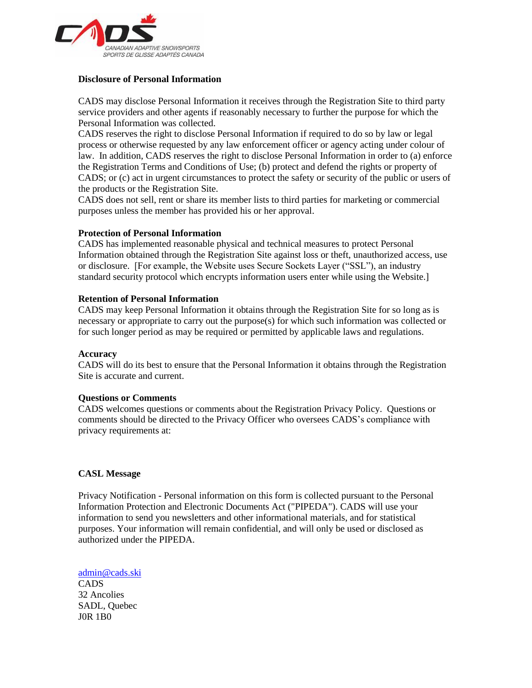

## **Disclosure of Personal Information**

CADS may disclose Personal Information it receives through the Registration Site to third party service providers and other agents if reasonably necessary to further the purpose for which the Personal Information was collected.

CADS reserves the right to disclose Personal Information if required to do so by law or legal process or otherwise requested by any law enforcement officer or agency acting under colour of law. In addition, CADS reserves the right to disclose Personal Information in order to (a) enforce the Registration Terms and Conditions of Use; (b) protect and defend the rights or property of CADS; or (c) act in urgent circumstances to protect the safety or security of the public or users of the products or the Registration Site.

CADS does not sell, rent or share its member lists to third parties for marketing or commercial purposes unless the member has provided his or her approval.

### **Protection of Personal Information**

CADS has implemented reasonable physical and technical measures to protect Personal Information obtained through the Registration Site against loss or theft, unauthorized access, use or disclosure. [For example, the Website uses Secure Sockets Layer ("SSL"), an industry standard security protocol which encrypts information users enter while using the Website.]

### **Retention of Personal Information**

CADS may keep Personal Information it obtains through the Registration Site for so long as is necessary or appropriate to carry out the purpose(s) for which such information was collected or for such longer period as may be required or permitted by applicable laws and regulations.

#### **Accuracy**

CADS will do its best to ensure that the Personal Information it obtains through the Registration Site is accurate and current.

#### **Questions or Comments**

CADS welcomes questions or comments about the Registration Privacy Policy. Questions or comments should be directed to the Privacy Officer who oversees CADS's compliance with privacy requirements at:

#### **CASL Message**

Privacy Notification - Personal information on this form is collected pursuant to the Personal Information Protection and Electronic Documents Act ("PIPEDA"). CADS will use your information to send you newsletters and other informational materials, and for statistical purposes. Your information will remain confidential, and will only be used or disclosed as authorized under the PIPEDA.

[admin@cads.ski](mailto:admin@cads.ski) CADS 32 Ancolies SADL, Quebec J0R 1B0